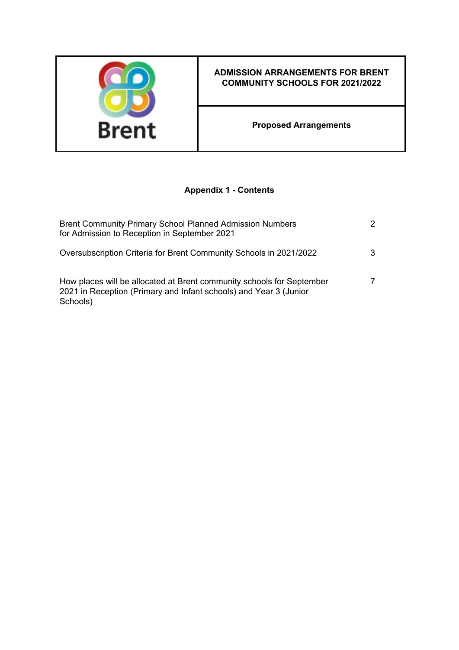

# **ADMISSION ARRANGEMENTS FOR BRENT COMMUNITY SCHOOLS FOR 2021/2022**

**Proposed Arrangements**

# **Appendix 1 - Contents**

| <b>Brent Community Primary School Planned Admission Numbers</b><br>for Admission to Reception in September 2021                                        | 2 |
|--------------------------------------------------------------------------------------------------------------------------------------------------------|---|
| Oversubscription Criteria for Brent Community Schools in 2021/2022                                                                                     | 3 |
| How places will be allocated at Brent community schools for September<br>2021 in Reception (Primary and Infant schools) and Year 3 (Junior<br>Schools) | 7 |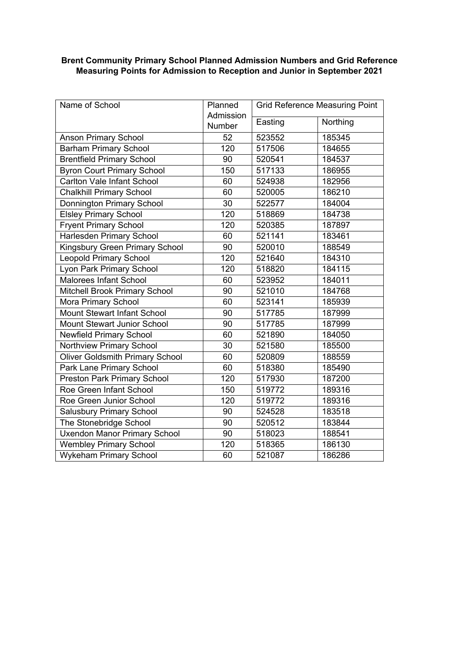### **Brent Community Primary School Planned Admission Numbers and Grid Reference Measuring Points for Admission to Reception and Junior in September 2021**

| Name of School                         | Planned             | <b>Grid Reference Measuring Point</b> |          |  |
|----------------------------------------|---------------------|---------------------------------------|----------|--|
|                                        | Admission<br>Number | Easting                               | Northing |  |
| <b>Anson Primary School</b>            | 52                  | 523552                                | 185345   |  |
| <b>Barham Primary School</b>           | 120                 | 517506                                | 184655   |  |
| <b>Brentfield Primary School</b>       | 90                  | 520541                                | 184537   |  |
| <b>Byron Court Primary School</b>      | 150                 | 517133                                | 186955   |  |
| <b>Carlton Vale Infant School</b>      | 60                  | 524938                                | 182956   |  |
| <b>Chalkhill Primary School</b>        | 60                  | 520005                                | 186210   |  |
| <b>Donnington Primary School</b>       | 30                  | 522577                                | 184004   |  |
| <b>Elsley Primary School</b>           | 120                 | 518869                                | 184738   |  |
| <b>Fryent Primary School</b>           | 120                 | 520385                                | 187897   |  |
| Harlesden Primary School               | 60                  | 521141                                | 183461   |  |
| Kingsbury Green Primary School         | 90                  | 520010                                | 188549   |  |
| <b>Leopold Primary School</b>          | 120                 | 521640                                | 184310   |  |
| <b>Lyon Park Primary School</b>        | 120                 | 518820                                | 184115   |  |
| <b>Malorees Infant School</b>          | 60                  | 523952                                | 184011   |  |
| Mitchell Brook Primary School          | 90                  | 521010                                | 184768   |  |
| Mora Primary School                    | 60                  | 523141                                | 185939   |  |
| <b>Mount Stewart Infant School</b>     | 90                  | 517785                                | 187999   |  |
| <b>Mount Stewart Junior School</b>     | 90                  | 517785                                | 187999   |  |
| <b>Newfield Primary School</b>         | 60                  | 521890                                | 184050   |  |
| Northview Primary School               | 30                  | 521580                                | 185500   |  |
| <b>Oliver Goldsmith Primary School</b> | 60                  | 520809                                | 188559   |  |
| Park Lane Primary School               | 60                  | 518380                                | 185490   |  |
| <b>Preston Park Primary School</b>     | 120                 | 517930                                | 187200   |  |
| Roe Green Infant School                | 150                 | 519772                                | 189316   |  |
| Roe Green Junior School                | 120                 | 519772                                | 189316   |  |
| <b>Salusbury Primary School</b>        | 90                  | 524528                                | 183518   |  |
| The Stonebridge School                 | 90                  | 520512                                | 183844   |  |
| <b>Uxendon Manor Primary School</b>    | 90                  | 518023                                | 188541   |  |
| <b>Wembley Primary School</b>          | 120                 | 518365                                | 186130   |  |
| <b>Wykeham Primary School</b>          | 60                  | 521087                                | 186286   |  |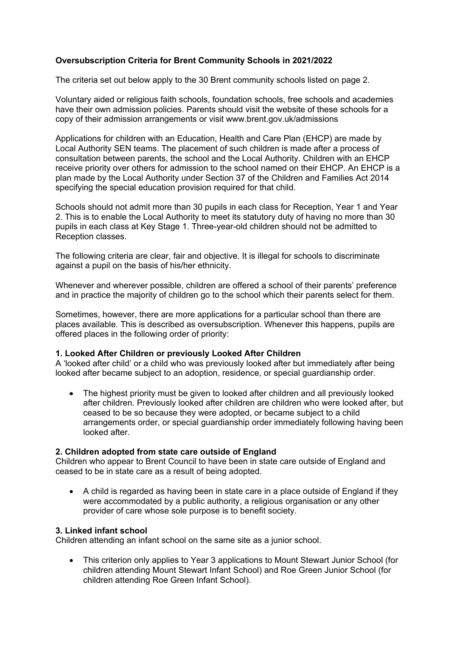# **Oversubscription Criteria for Brent Community Schools in 2021/2022**

The criteria set out below apply to the 30 Brent community schools listed on page 2.

Voluntary aided or religious faith schools, foundation schools, free schools and academies have their own admission policies. Parents should visit the website of these schools for a copy of their admission arrangements or visit www.brent.gov.uk/admissions

Applications for children with an Education, Health and Care Plan (EHCP) are made by Local Authority SEN teams. The placement of such children is made after a process of consultation between parents, the school and the Local Authority. Children with an EHCP receive priority over others for admission to the school named on their EHCP. An EHCP is a plan made by the Local Authority under Section 37 of the Children and Families Act 2014 specifying the special education provision required for that child.

Schools should not admit more than 30 pupils in each class for Reception, Year 1 and Year 2. This is to enable the Local Authority to meet its statutory duty of having no more than 30 pupils in each class at Key Stage 1. Three-year-old children should not be admitted to Reception classes.

The following criteria are clear, fair and objective. It is illegal for schools to discriminate against a pupil on the basis of his/her ethnicity.

Whenever and wherever possible, children are offered a school of their parents' preference and in practice the majority of children go to the school which their parents select for them.

Sometimes, however, there are more applications for a particular school than there are places available. This is described as oversubscription. Whenever this happens, pupils are offered places in the following order of priority:

## **1. Looked After Children or previously Looked After Children**

A 'looked after child' or a child who was previously looked after but immediately after being looked after became subject to an adoption, residence, or special guardianship order.

 The highest priority must be given to looked after children and all previously looked after children. Previously looked after children are children who were looked after, but ceased to be so because they were adopted, or became subject to a child arrangements order, or special guardianship order immediately following having been looked after.

## **2. Children adopted from state care outside of England**

Children who appear to Brent Council to have been in state care outside of England and ceased to be in state care as a result of being adopted.

 A child is regarded as having been in state care in a place outside of England if they were accommodated by a public authority, a religious organisation or any other provider of care whose sole purpose is to benefit society.

## **3. Linked infant school**

Children attending an infant school on the same site as a junior school.

 This criterion only applies to Year 3 applications to Mount Stewart Junior School (for children attending Mount Stewart Infant School) and Roe Green Junior School (for children attending Roe Green Infant School).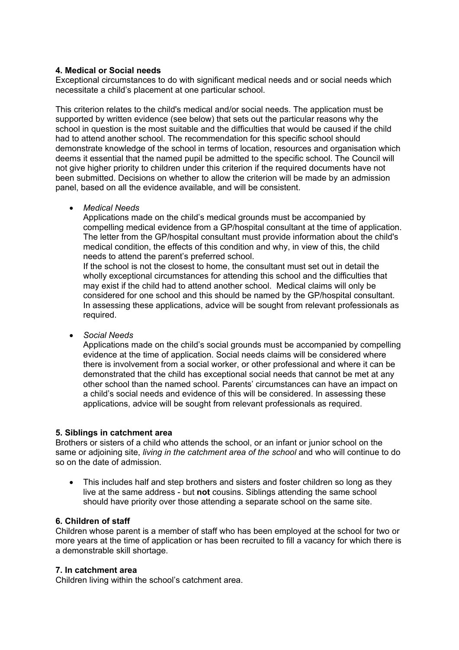## **4. Medical or Social needs**

Exceptional circumstances to do with significant medical needs and or social needs which necessitate a child's placement at one particular school.

This criterion relates to the child's medical and/or social needs. The application must be supported by written evidence (see below) that sets out the particular reasons why the school in question is the most suitable and the difficulties that would be caused if the child had to attend another school. The recommendation for this specific school should demonstrate knowledge of the school in terms of location, resources and organisation which deems it essential that the named pupil be admitted to the specific school. The Council will not give higher priority to children under this criterion if the required documents have not been submitted. Decisions on whether to allow the criterion will be made by an admission panel, based on all the evidence available, and will be consistent.

*Medical Needs*

Applications made on the child's medical grounds must be accompanied by compelling medical evidence from a GP/hospital consultant at the time of application. The letter from the GP/hospital consultant must provide information about the child's medical condition, the effects of this condition and why, in view of this, the child needs to attend the parent's preferred school.

If the school is not the closest to home, the consultant must set out in detail the wholly exceptional circumstances for attending this school and the difficulties that may exist if the child had to attend another school. Medical claims will only be considered for one school and this should be named by the GP/hospital consultant. In assessing these applications, advice will be sought from relevant professionals as required.

*Social Needs*

Applications made on the child's social grounds must be accompanied by compelling evidence at the time of application. Social needs claims will be considered where there is involvement from a social worker, or other professional and where it can be demonstrated that the child has exceptional social needs that cannot be met at any other school than the named school. Parents' circumstances can have an impact on a child's social needs and evidence of this will be considered. In assessing these applications, advice will be sought from relevant professionals as required.

#### **5. Siblings in catchment area**

Brothers or sisters of a child who attends the school, or an infant or junior school on the same or adjoining site, *living in the catchment area of the school* and who will continue to do so on the date of admission.

• This includes half and step brothers and sisters and foster children so long as they live at the same address - but **not** cousins. Siblings attending the same school should have priority over those attending a separate school on the same site.

## **6. Children of staff**

Children whose parent is a member of staff who has been employed at the school for two or more years at the time of application or has been recruited to fill a vacancy for which there is a demonstrable skill shortage.

#### **7. In catchment area**

Children living within the school's catchment area.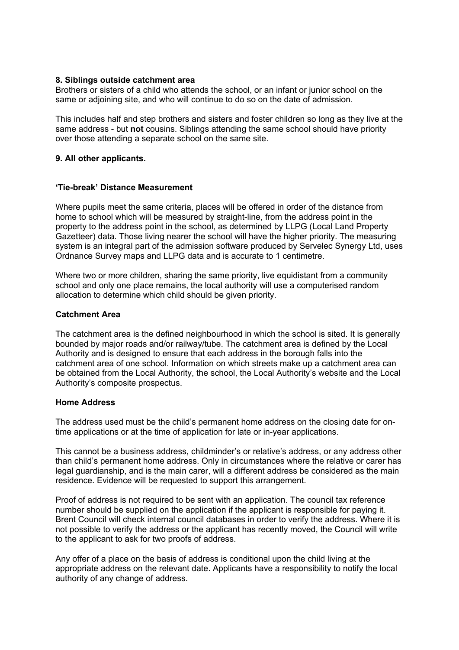#### **8. Siblings outside catchment area**

Brothers or sisters of a child who attends the school, or an infant or junior school on the same or adjoining site, and who will continue to do so on the date of admission.

This includes half and step brothers and sisters and foster children so long as they live at the same address - but **not** cousins. Siblings attending the same school should have priority over those attending a separate school on the same site.

### **9. All other applicants.**

#### **'Tie-break' Distance Measurement**

Where pupils meet the same criteria, places will be offered in order of the distance from home to school which will be measured by straight-line, from the address point in the property to the address point in the school, as determined by LLPG (Local Land Property Gazetteer) data. Those living nearer the school will have the higher priority. The measuring system is an integral part of the admission software produced by Servelec Synergy Ltd, uses Ordnance Survey maps and LLPG data and is accurate to 1 centimetre.

Where two or more children, sharing the same priority, live equidistant from a community school and only one place remains, the local authority will use a computerised random allocation to determine which child should be given priority.

#### **Catchment Area**

The catchment area is the defined neighbourhood in which the school is sited. It is generally bounded by major roads and/or railway/tube. The catchment area is defined by the Local Authority and is designed to ensure that each address in the borough falls into the catchment area of one school. Information on which streets make up a catchment area can be obtained from the Local Authority, the school, the Local Authority's website and the Local Authority's composite prospectus.

#### **Home Address**

The address used must be the child's permanent home address on the closing date for ontime applications or at the time of application for late or in-year applications.

This cannot be a business address, childminder's or relative's address, or any address other than child's permanent home address. Only in circumstances where the relative or carer has legal guardianship, and is the main carer, will a different address be considered as the main residence. Evidence will be requested to support this arrangement.

Proof of address is not required to be sent with an application. The council tax reference number should be supplied on the application if the applicant is responsible for paying it. Brent Council will check internal council databases in order to verify the address. Where it is not possible to verify the address or the applicant has recently moved, the Council will write to the applicant to ask for two proofs of address.

Any offer of a place on the basis of address is conditional upon the child living at the appropriate address on the relevant date. Applicants have a responsibility to notify the local authority of any change of address.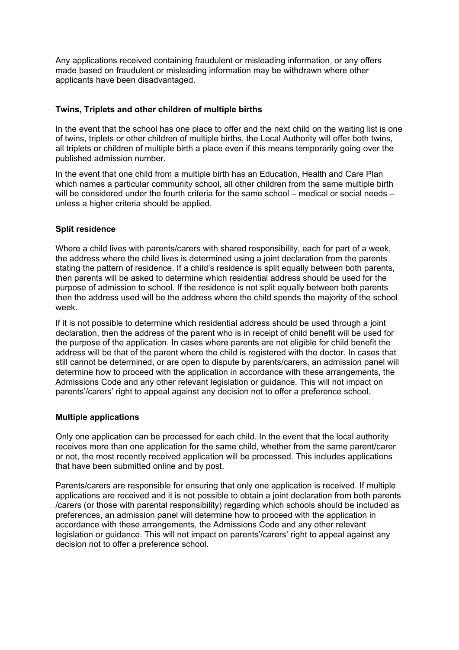Any applications received containing fraudulent or misleading information, or any offers made based on fraudulent or misleading information may be withdrawn where other applicants have been disadvantaged.

# **Twins, Triplets and other children of multiple births**

In the event that the school has one place to offer and the next child on the waiting list is one of twins, triplets or other children of multiple births, the Local Authority will offer both twins, all triplets or children of multiple birth a place even if this means temporarily going over the published admission number.

In the event that one child from a multiple birth has an Education, Health and Care Plan which names a particular community school, all other children from the same multiple birth will be considered under the fourth criteria for the same school – medical or social needs – unless a higher criteria should be applied.

# **Split residence**

Where a child lives with parents/carers with shared responsibility, each for part of a week, the address where the child lives is determined using a joint declaration from the parents stating the pattern of residence. If a child's residence is split equally between both parents, then parents will be asked to determine which residential address should be used for the purpose of admission to school. If the residence is not split equally between both parents then the address used will be the address where the child spends the majority of the school week.

If it is not possible to determine which residential address should be used through a joint declaration, then the address of the parent who is in receipt of child benefit will be used for the purpose of the application. In cases where parents are not eligible for child benefit the address will be that of the parent where the child is registered with the doctor. In cases that still cannot be determined, or are open to dispute by parents/carers, an admission panel will determine how to proceed with the application in accordance with these arrangements, the Admissions Code and any other relevant legislation or guidance. This will not impact on parents'/carers' right to appeal against any decision not to offer a preference school.

## **Multiple applications**

Only one application can be processed for each child. In the event that the local authority receives more than one application for the same child, whether from the same parent/carer or not, the most recently received application will be processed. This includes applications that have been submitted online and by post.

Parents/carers are responsible for ensuring that only one application is received. If multiple applications are received and it is not possible to obtain a joint declaration from both parents /carers (or those with parental responsibility) regarding which schools should be included as preferences, an admission panel will determine how to proceed with the application in accordance with these arrangements, the Admissions Code and any other relevant legislation or guidance. This will not impact on parents'/carers' right to appeal against any decision not to offer a preference school.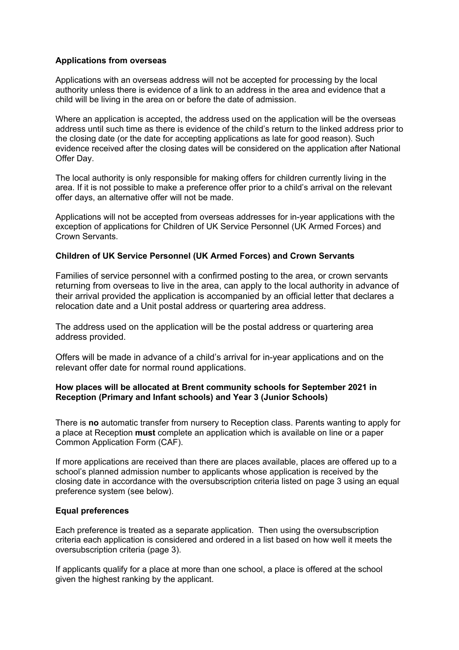#### **Applications from overseas**

Applications with an overseas address will not be accepted for processing by the local authority unless there is evidence of a link to an address in the area and evidence that a child will be living in the area on or before the date of admission.

Where an application is accepted, the address used on the application will be the overseas address until such time as there is evidence of the child's return to the linked address prior to the closing date (or the date for accepting applications as late for good reason). Such evidence received after the closing dates will be considered on the application after National Offer Day.

The local authority is only responsible for making offers for children currently living in the area. If it is not possible to make a preference offer prior to a child's arrival on the relevant offer days, an alternative offer will not be made.

Applications will not be accepted from overseas addresses for in-year applications with the exception of applications for Children of UK Service Personnel (UK Armed Forces) and Crown Servants.

## **Children of UK Service Personnel (UK Armed Forces) and Crown Servants**

Families of service personnel with a confirmed posting to the area, or crown servants returning from overseas to live in the area, can apply to the local authority in advance of their arrival provided the application is accompanied by an official letter that declares a relocation date and a Unit postal address or quartering area address.

The address used on the application will be the postal address or quartering area address provided.

Offers will be made in advance of a child's arrival for in-year applications and on the relevant offer date for normal round applications.

## **How places will be allocated at Brent community schools for September 2021 in Reception (Primary and Infant schools) and Year 3 (Junior Schools)**

There is **no** automatic transfer from nursery to Reception class. Parents wanting to apply for a place at Reception **must** complete an application which is available on line or a paper Common Application Form (CAF).

If more applications are received than there are places available, places are offered up to a school's planned admission number to applicants whose application is received by the closing date in accordance with the oversubscription criteria listed on page 3 using an equal preference system (see below).

## **Equal preferences**

Each preference is treated as a separate application. Then using the oversubscription criteria each application is considered and ordered in a list based on how well it meets the oversubscription criteria (page 3).

If applicants qualify for a place at more than one school, a place is offered at the school given the highest ranking by the applicant.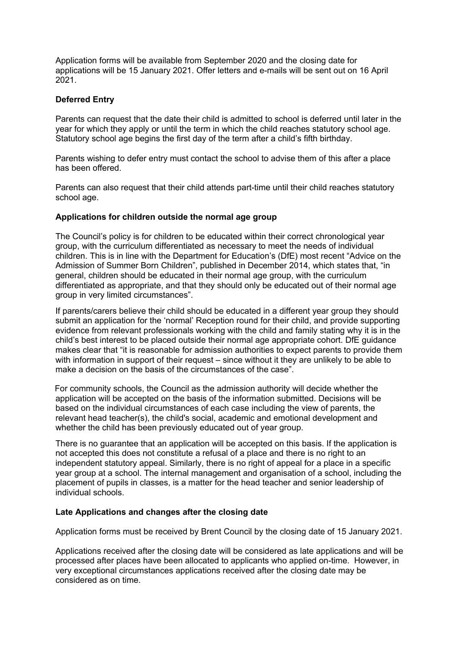Application forms will be available from September 2020 and the closing date for applications will be 15 January 2021. Offer letters and e-mails will be sent out on 16 April 2021.

## **Deferred Entry**

Parents can request that the date their child is admitted to school is deferred until later in the year for which they apply or until the term in which the child reaches statutory school age. Statutory school age begins the first day of the term after a child's fifth birthday.

Parents wishing to defer entry must contact the school to advise them of this after a place has been offered.

Parents can also request that their child attends part-time until their child reaches statutory school age.

#### **Applications for children outside the normal age group**

The Council's policy is for children to be educated within their correct chronological year group, with the curriculum differentiated as necessary to meet the needs of individual children. This is in line with the Department for Education's (DfE) most recent "Advice on the Admission of Summer Born Children", published in December 2014, which states that, "in general, children should be educated in their normal age group, with the curriculum differentiated as appropriate, and that they should only be educated out of their normal age group in very limited circumstances".

If parents/carers believe their child should be educated in a different year group they should submit an application for the 'normal' Reception round for their child, and provide supporting evidence from relevant professionals working with the child and family stating why it is in the child's best interest to be placed outside their normal age appropriate cohort. DfE guidance makes clear that "it is reasonable for admission authorities to expect parents to provide them with information in support of their request – since without it they are unlikely to be able to make a decision on the basis of the circumstances of the case".

For community schools, the Council as the admission authority will decide whether the application will be accepted on the basis of the information submitted. Decisions will be based on the individual circumstances of each case including the view of parents, the relevant head teacher(s), the child's social, academic and emotional development and whether the child has been previously educated out of year group.

There is no guarantee that an application will be accepted on this basis. If the application is not accepted this does not constitute a refusal of a place and there is no right to an independent statutory appeal. Similarly, there is no right of appeal for a place in a specific year group at a school. The internal management and organisation of a school, including the placement of pupils in classes, is a matter for the head teacher and senior leadership of individual schools.

#### **Late Applications and changes after the closing date**

Application forms must be received by Brent Council by the closing date of 15 January 2021.

Applications received after the closing date will be considered as late applications and will be processed after places have been allocated to applicants who applied on-time. However, in very exceptional circumstances applications received after the closing date may be considered as on time.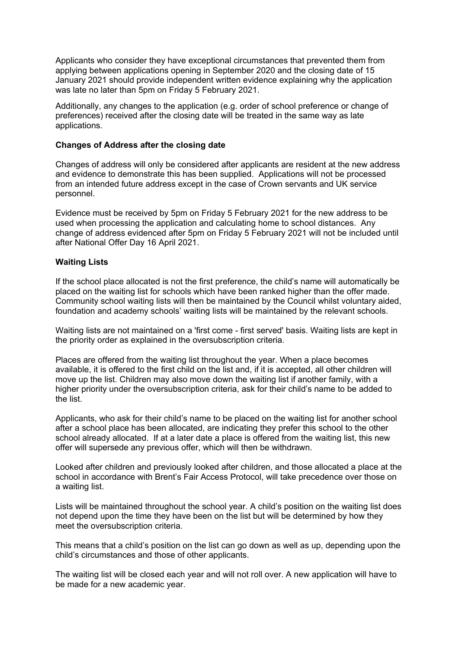Applicants who consider they have exceptional circumstances that prevented them from applying between applications opening in September 2020 and the closing date of 15 January 2021 should provide independent written evidence explaining why the application was late no later than 5pm on Friday 5 February 2021.

Additionally, any changes to the application (e.g. order of school preference or change of preferences) received after the closing date will be treated in the same way as late applications.

### **Changes of Address after the closing date**

Changes of address will only be considered after applicants are resident at the new address and evidence to demonstrate this has been supplied. Applications will not be processed from an intended future address except in the case of Crown servants and UK service personnel.

Evidence must be received by 5pm on Friday 5 February 2021 for the new address to be used when processing the application and calculating home to school distances. Any change of address evidenced after 5pm on Friday 5 February 2021 will not be included until after National Offer Day 16 April 2021.

#### **Waiting Lists**

If the school place allocated is not the first preference, the child's name will automatically be placed on the waiting list for schools which have been ranked higher than the offer made. Community school waiting lists will then be maintained by the Council whilst voluntary aided, foundation and academy schools' waiting lists will be maintained by the relevant schools.

Waiting lists are not maintained on a 'first come - first served' basis. Waiting lists are kept in the priority order as explained in the oversubscription criteria.

Places are offered from the waiting list throughout the year. When a place becomes available, it is offered to the first child on the list and, if it is accepted, all other children will move up the list. Children may also move down the waiting list if another family, with a higher priority under the oversubscription criteria, ask for their child's name to be added to the list.

Applicants, who ask for their child's name to be placed on the waiting list for another school after a school place has been allocated, are indicating they prefer this school to the other school already allocated. If at a later date a place is offered from the waiting list, this new offer will supersede any previous offer, which will then be withdrawn.

Looked after children and previously looked after children, and those allocated a place at the school in accordance with Brent's Fair Access Protocol, will take precedence over those on a waiting list.

Lists will be maintained throughout the school year. A child's position on the waiting list does not depend upon the time they have been on the list but will be determined by how they meet the oversubscription criteria.

This means that a child's position on the list can go down as well as up, depending upon the child's circumstances and those of other applicants.

The waiting list will be closed each year and will not roll over. A new application will have to be made for a new academic year.